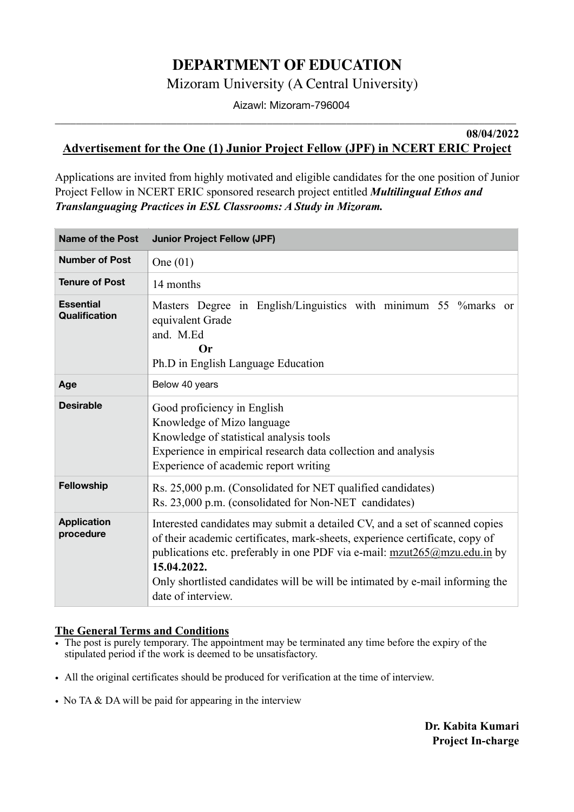## **DEPARTMENT OF EDUCATION**

Mizoram University (A Central University)

 Aizawl: Mizoram-796004 **\_\_\_\_\_\_\_\_\_\_\_\_\_\_\_\_\_\_\_\_\_\_\_\_\_\_\_\_\_\_\_\_\_\_\_\_\_\_\_\_\_\_\_\_\_\_\_\_\_\_\_\_\_\_\_\_\_\_\_\_\_\_\_\_\_\_\_\_\_\_\_\_\_\_\_\_\_\_\_\_\_\_\_\_\_\_\_** 

**08/04/2022** 

## **Advertisement for the One (1) Junior Project Fellow (JPF) in NCERT ERIC Project**

Applications are invited from highly motivated and eligible candidates for the one position of Junior Project Fellow in NCERT ERIC sponsored research project entitled *Multilingual Ethos and Translanguaging Practices in ESL Classrooms: A Study in Mizoram.*

| Name of the Post                  | <b>Junior Project Fellow (JPF)</b>                                                                                                                                                                                                                                                                                                                               |
|-----------------------------------|------------------------------------------------------------------------------------------------------------------------------------------------------------------------------------------------------------------------------------------------------------------------------------------------------------------------------------------------------------------|
| <b>Number of Post</b>             | One $(01)$                                                                                                                                                                                                                                                                                                                                                       |
| <b>Tenure of Post</b>             | 14 months                                                                                                                                                                                                                                                                                                                                                        |
| <b>Essential</b><br>Qualification | Masters Degree in English/Linguistics with minimum 55 % marks or<br>equivalent Grade<br>and. M.Ed<br>Or<br>Ph.D in English Language Education                                                                                                                                                                                                                    |
| Age                               | Below 40 years                                                                                                                                                                                                                                                                                                                                                   |
| <b>Desirable</b>                  | Good proficiency in English<br>Knowledge of Mizo language<br>Knowledge of statistical analysis tools<br>Experience in empirical research data collection and analysis<br>Experience of academic report writing                                                                                                                                                   |
| Fellowship                        | Rs. 25,000 p.m. (Consolidated for NET qualified candidates)<br>Rs. 23,000 p.m. (consolidated for Non-NET candidates)                                                                                                                                                                                                                                             |
| <b>Application</b><br>procedure   | Interested candidates may submit a detailed CV, and a set of scanned copies<br>of their academic certificates, mark-sheets, experience certificate, copy of<br>publications etc. preferably in one PDF via e-mail: $mzut265@mzu.edu.in$ by<br>15.04.2022.<br>Only shortlisted candidates will be will be intimated by e-mail informing the<br>date of interview. |

## **The General Terms and Conditions**

- The post is purely temporary. The appointment may be terminated any time before the expiry of the stipulated period if the work is deemed to be unsatisfactory.
- All the original certificates should be produced for verification at the time of interview.
- No TA & DA will be paid for appearing in the interview